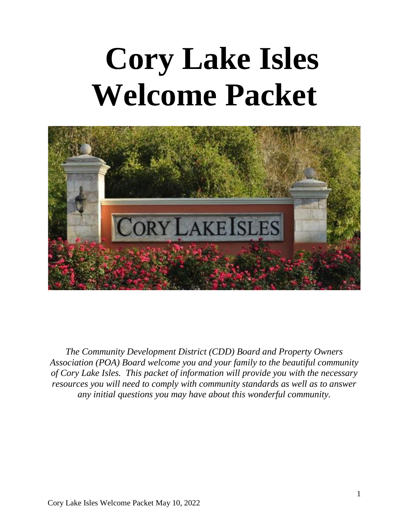# **Cory Lake Isles Welcome Packet**



*The Community Development District (CDD) Board and Property Owners Association (POA) Board welcome you and your family to the beautiful community of Cory Lake Isles. This packet of information will provide you with the necessary resources you will need to comply with community standards as well as to answer any initial questions you may have about this wonderful community.*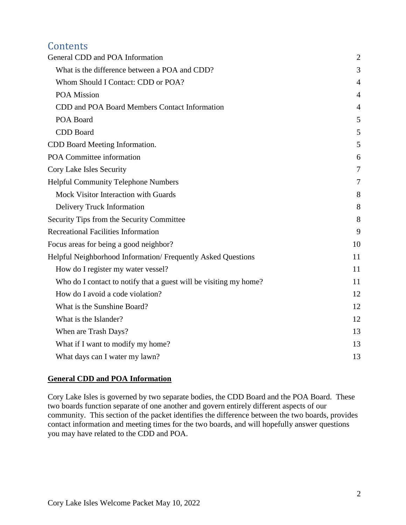# **Contents**

| General CDD and POA Information                                   | $\overline{2}$ |
|-------------------------------------------------------------------|----------------|
| What is the difference between a POA and CDD?                     | 3              |
| Whom Should I Contact: CDD or POA?                                | 4              |
| POA Mission                                                       | $\overline{4}$ |
| CDD and POA Board Members Contact Information                     | 4              |
| POA Board                                                         | 5              |
| <b>CDD</b> Board                                                  | 5              |
| CDD Board Meeting Information.                                    | 5              |
| POA Committee information                                         | 6              |
| Cory Lake Isles Security                                          | 7              |
| <b>Helpful Community Telephone Numbers</b>                        | 7              |
| Mock Visitor Interaction with Guards                              | 8              |
| Delivery Truck Information                                        | 8              |
| Security Tips from the Security Committee                         | 8              |
| <b>Recreational Facilities Information</b>                        | 9              |
| Focus areas for being a good neighbor?                            | 10             |
| Helpful Neighborhood Information/Frequently Asked Questions       | 11             |
| How do I register my water vessel?                                | 11             |
| Who do I contact to notify that a guest will be visiting my home? | 11             |
| How do I avoid a code violation?                                  | 12             |
| What is the Sunshine Board?                                       | 12             |
| What is the Islander?                                             | 12             |
| When are Trash Days?                                              | 13             |
| What if I want to modify my home?                                 | 13             |
| What days can I water my lawn?                                    | 13             |

# <span id="page-1-0"></span>**General CDD and POA Information**

Cory Lake Isles is governed by two separate bodies, the CDD Board and the POA Board. These two boards function separate of one another and govern entirely different aspects of our community. This section of the packet identifies the difference between the two boards, provides contact information and meeting times for the two boards, and will hopefully answer questions you may have related to the CDD and POA.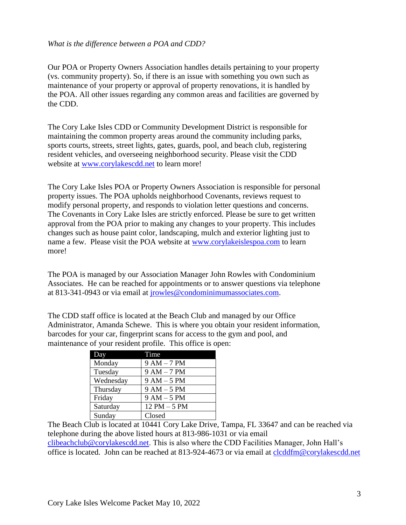#### <span id="page-2-0"></span>*What is the difference between a POA and CDD?*

Our POA or Property Owners Association handles details pertaining to your property (vs. community property). So, if there is an issue with something you own such as maintenance of your property or approval of property renovations, it is handled by the POA. All other issues regarding any common areas and facilities are governed by the CDD.

The Cory Lake Isles CDD or Community Development District is responsible for maintaining the common property areas around the community including parks, sports courts, streets, street lights, gates, guards, pool, and beach club, registering resident vehicles, and overseeing neighborhood security. Please visit the CDD website at [www.corylakescdd.net](http://www.corylakescdd.net/) to learn more!

The Cory Lake Isles POA or Property Owners Association is responsible for personal property issues. The POA upholds neighborhood Covenants, reviews request to modify personal property, and responds to violation letter questions and concerns. The Covenants in Cory Lake Isles are strictly enforced. Please be sure to get written approval from the POA prior to making any changes to your property. This includes changes such as house paint color, landscaping, mulch and exterior lighting just to name a few. Please visit the POA website at [www.corylakeislespoa.com](http://www.corylakeislespoa.com/) to learn more!

The POA is managed by our Association Manager John Rowles with Condominium Associates. He can be reached for appointments or to answer questions via telephone at 813-341-0943 or via email at [jrowles@condominimumassociates.com.](mailto:jrowles@condominimumassociates.com)

The CDD staff office is located at the Beach Club and managed by our Office Administrator, Amanda Schewe. This is where you obtain your resident information, barcodes for your car, fingerprint scans for access to the gym and pool, and maintenance of your resident profile. This office is open:

| Day       | Time            |
|-----------|-----------------|
| Monday    | $9AM - 7PM$     |
| Tuesday   | $9 AM - 7 PM$   |
| Wednesday | $9 AM - 5 PM$   |
| Thursday  | $9 AM - 5 PM$   |
| Friday    | $9 AM - 5 PM$   |
| Saturday  | $12$ PM $-5$ PM |
| Sunday    | Closed          |

The Beach Club is located at 10441 Cory Lake Drive, Tampa, FL 33647 and can be reached via telephone during the above listed hours at 813-986-1031 or via email [clibeachclub@corylakescdd.net.](mailto:clibeachclub@corylakescdd.net) This is also where the CDD Facilities Manager, John Hall's office is located. John can be reached at 813-924-4673 or via email at [clcddfm@corylakescdd.net](mailto:clcddfm@corylakescdd.net)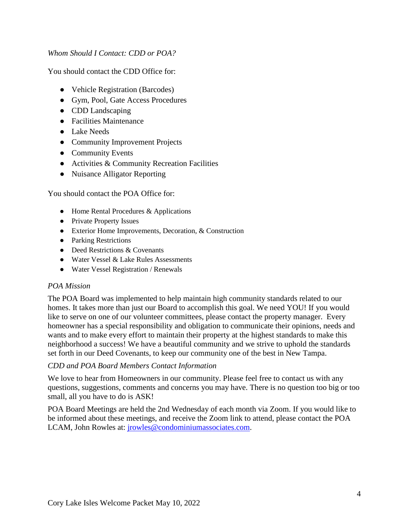#### <span id="page-3-0"></span>*Whom Should I Contact: CDD or POA?*

You should contact the CDD Office for:

- Vehicle Registration (Barcodes)
- Gym, Pool, Gate Access Procedures
- CDD Landscaping
- Facilities Maintenance
- Lake Needs
- Community Improvement Projects
- Community Events
- Activities & Community Recreation Facilities
- Nuisance Alligator Reporting

You should contact the POA Office for:

- Home Rental Procedures & Applications
- Private Property Issues
- Exterior Home Improvements, Decoration, & Construction
- Parking Restrictions
- Deed Restrictions & Covenants
- Water Vessel & Lake Rules Assessments
- Water Vessel Registration / Renewals

#### <span id="page-3-1"></span>*POA Mission*

The POA Board was implemented to help maintain high community standards related to our homes. It takes more than just our Board to accomplish this goal. We need YOU! If you would like to serve on one of our volunteer committees, please contact the property manager. Every homeowner has a special responsibility and obligation to communicate their opinions, needs and wants and to make every effort to maintain their property at the highest standards to make this neighborhood a success! We have a beautiful community and we strive to uphold the standards set forth in our Deed Covenants, to keep our community one of the best in New Tampa.

#### <span id="page-3-2"></span>*CDD and POA Board Members Contact Information*

We love to hear from Homeowners in our community. Please feel free to contact us with any questions, suggestions, comments and concerns you may have. There is no question too big or too small, all you have to do is ASK!

POA Board Meetings are held the 2nd Wednesday of each month via Zoom. If you would like to be informed about these meetings, and receive the Zoom link to attend, please contact the POA LCAM, John Rowles at: [jrowles@condominiumassociates.com.](mailto:jrowles@condominiumassociates.com)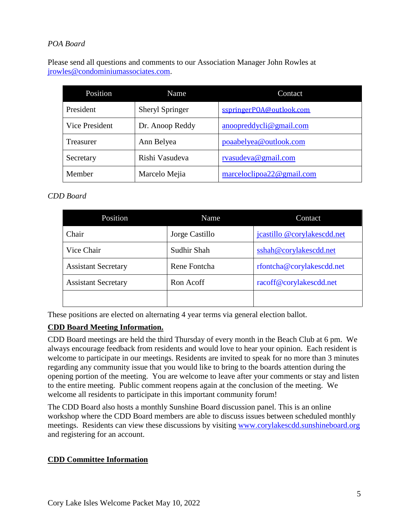# <span id="page-4-0"></span>*POA Board*

Please send all questions and comments to our Association Manager John Rowles at [jrowles@condominiumassociates.com.](mailto:jrowles@condominiumassociates.com)

| Position       | Name                   | Contact                                   |
|----------------|------------------------|-------------------------------------------|
| President      | <b>Sheryl Springer</b> | sspringerPOA@outlook.com                  |
| Vice President | Dr. Anoop Reddy        | $\alpha$ anoopreddycli $\omega$ gmail.com |
| Treasurer      | Ann Belyea             | poaabelyea@outlook.com                    |
| Secretary      | Rishi Vasudeva         | rvasudeva@gmail.com                       |
| Member         | Marcelo Mejia          | marceloclipoa22@gmail.com                 |

# <span id="page-4-1"></span>*CDD Board*

| Position                   | Name           | Contact                     |
|----------------------------|----------------|-----------------------------|
| Chair                      | Jorge Castillo | jcastillo @corylakescdd.net |
| Vice Chair                 | Sudhir Shah    | sshah@corylakescdd.net      |
| <b>Assistant Secretary</b> | Rene Fontcha   | rfontcha@corylakescdd.net   |
| <b>Assistant Secretary</b> | Ron Acoff      | racoff@corylakescdd.net     |
|                            |                |                             |

These positions are elected on alternating 4 year terms via general election ballot.

# <span id="page-4-2"></span>**CDD Board Meeting Information.**

CDD Board meetings are held the third Thursday of every month in the Beach Club at 6 pm. We always encourage feedback from residents and would love to hear your opinion. Each resident is welcome to participate in our meetings. Residents are invited to speak for no more than 3 minutes regarding any community issue that you would like to bring to the boards attention during the opening portion of the meeting. You are welcome to leave after your comments or stay and listen to the entire meeting. Public comment reopens again at the conclusion of the meeting. We welcome all residents to participate in this important community forum!

The CDD Board also hosts a monthly Sunshine Board discussion panel. This is an online workshop where the CDD Board members are able to discuss issues between scheduled monthly meetings. Residents can view these discussions by visiting [www.corylakescdd.sunshineboard.org](http://www.corylakescdd.sunshineboard.org/) and registering for an account.

# **CDD Committee Information**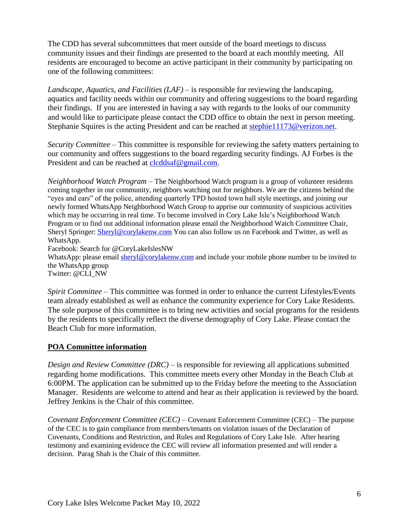The CDD has several subcommittees that meet outside of the board meetings to discuss community issues and their findings are presented to the board at each monthly meeting. All residents are encouraged to become an active participant in their community by participating on one of the following committees:

*Landscape, Aquatics, and Facilities (LAF)* – is responsible for reviewing the landscaping, aquatics and facility needs within our community and offering suggestions to the board regarding their findings. If you are interested in having a say with regards to the looks of our community and would like to participate please contact the CDD office to obtain the next in person meeting. Stephanie Squires is the acting President and can be reached at [stephie11173@verizon.net.](mailto:stephie11173@verizon.net)

*Security Committee* – This committee is responsible for reviewing the safety matters pertaining to our community and offers suggestions to the board regarding security findings. AJ Forbes is the President and can be reached at [clcddsaf@gmail.com.](mailto:clcddsaf@gmail.com)

*Neighborhood Watch Program* – The Neighborhood Watch program is a group of volunteer residents coming together in our community, neighbors watching out for neighbors. We are the citizens behind the "eyes and ears" of the police, attending quarterly TPD hosted town hall style meetings, and joining our newly formed WhatsApp Neighborhood Watch Group to apprise our community of suspicious activities which may be occurring in real time. To become involved in Cory Lake Isle's Neighborhood Watch Program or to find out additional information please email the Neighborhood Watch Committee Chair, Sheryl Springer: [Sheryl@corylakenw.com](mailto:Sheryl@corylakenw.com) You can also follow us on Facebook and Twitter, as well as WhatsApp.

Facebook: Search for @CoryLakeIslesNW

WhatsApp: please email [sheryl@corylakenw.com](mailto:sheryl@corylakenw.com) and include your mobile phone number to be invited to the WhatsApp group

Twitter: @CLI\_NW

*Spirit Committee –* This committee was formed in order to enhance the current Lifestyles/Events team already established as well as enhance the community experience for Cory Lake Residents. The sole purpose of this committee is to bring new activities and social programs for the residents by the residents to specifically reflect the diverse demography of Cory Lake. Please contact the Beach Club for more information.

# <span id="page-5-0"></span>**POA Committee information**

*Design and Review Committee (DRC)* – is responsible for reviewing all applications submitted regarding home modifications. This committee meets every other Monday in the Beach Club at 6:00PM. The application can be submitted up to the Friday before the meeting to the Association Manager. Residents are welcome to attend and hear as their application is reviewed by the board. Jeffrey Jenkins is the Chair of this committee.

*Covenant Enforcement Committee (CEC)* – Covenant Enforcement Committee (CEC) – The purpose of the CEC is to gain compliance from members/tenants on violation issues of the Declaration of Covenants, Conditions and Restriction, and Rules and Regulations of Cory Lake Isle. After hearing testimony and examining evidence the CEC will review all information presented and will render a decision. Parag Shah is the Chair of this committee.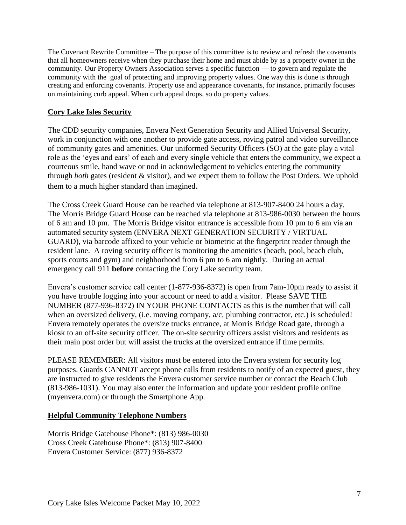The Covenant Rewrite Committee – The purpose of this committee is to review and refresh the covenants that all homeowners receive when they purchase their home and must abide by as a property owner in the community. Our Property Owners Association serves a specific function — to govern and regulate the community with the goal of protecting and improving property values. One way this is done is through creating and enforcing covenants. Property use and appearance covenants, for instance, primarily focuses on maintaining curb appeal. When curb appeal drops, so do property values.

# <span id="page-6-0"></span>**Cory Lake Isles Security**

The CDD security companies, Envera Next Generation Security and Allied Universal Security, work in conjunction with one another to provide gate access, roving patrol and video surveillance of community gates and amenities. Our uniformed Security Officers (SO) at the gate play a vital role as the 'eyes and ears' of each and every single vehicle that enters the community, we expect a courteous smile, hand wave or nod in acknowledgement to vehicles entering the community through *both* gates (resident & visitor), and we expect them to follow the Post Orders. We uphold them to a much higher standard than imagined.

The Cross Creek Guard House can be reached via telephone at 813-907-8400 24 hours a day. The Morris Bridge Guard House can be reached via telephone at 813-986-0030 between the hours of 6 am and 10 pm. The Morris Bridge visitor entrance is accessible from 10 pm to 6 am via an automated security system (ENVERA NEXT GENERATION SECURITY / VIRTUAL GUARD), via barcode affixed to your vehicle or biometric at the fingerprint reader through the resident lane. A roving security officer is monitoring the amenities (beach, pool, beach club, sports courts and gym) and neighborhood from 6 pm to 6 am nightly. During an actual emergency call 911 **before** contacting the Cory Lake security team.

Envera's customer service call center (1-877-936-8372) is open from 7am-10pm ready to assist if you have trouble logging into your account or need to add a visitor. Please SAVE THE NUMBER (877-936-8372) IN YOUR PHONE CONTACTS as this is the number that will call when an oversized delivery, (i.e. moving company,  $a/c$ , plumbing contractor, etc.) is scheduled! Envera remotely operates the oversize trucks entrance, at Morris Bridge Road gate, through a kiosk to an off-site security officer. The on-site security officers assist visitors and residents as their main post order but will assist the trucks at the oversized entrance if time permits.

PLEASE REMEMBER: All visitors must be entered into the Envera system for security log purposes. Guards CANNOT accept phone calls from residents to notify of an expected guest, they are instructed to give residents the Envera customer service number or contact the Beach Club (813-986-1031). You may also enter the information and update your resident profile online (myenvera.com) or through the Smartphone App.

# <span id="page-6-1"></span>**Helpful Community Telephone Numbers**

Morris Bridge Gatehouse Phone\*: (813) 986-0030 Cross Creek Gatehouse Phone\*: (813) 907-8400 Envera Customer Service: (877) 936-8372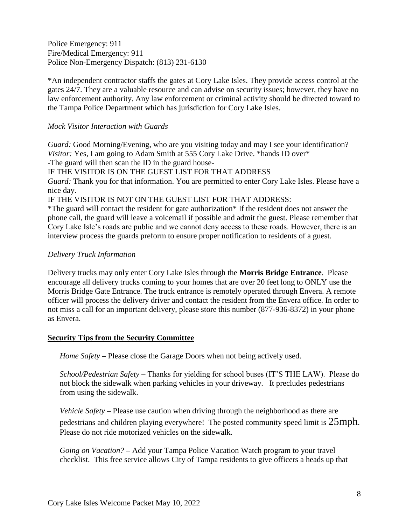Police Emergency: 911 Fire/Medical Emergency: 911 Police Non-Emergency Dispatch: (813) 231-6130

\*An independent contractor staffs the gates at Cory Lake Isles. They provide access control at the gates 24/7. They are a valuable resource and can advise on security issues; however, they have no law enforcement authority. Any law enforcement or criminal activity should be directed toward to the Tampa Police Department which has jurisdiction for Cory Lake Isles.

#### <span id="page-7-0"></span>*Mock Visitor Interaction with Guards*

*Guard:* Good Morning/Evening, who are you visiting today and may I see your identification? *Visitor:* Yes, I am going to Adam Smith at 555 Cory Lake Drive. \*hands ID over\*

-The guard will then scan the ID in the guard house-

IF THE VISITOR IS ON THE GUEST LIST FOR THAT ADDRESS

*Guard:* Thank you for that information. You are permitted to enter Cory Lake Isles. Please have a nice day.

IF THE VISITOR IS NOT ON THE GUEST LIST FOR THAT ADDRESS:

\*The guard will contact the resident for gate authorization\* If the resident does not answer the phone call, the guard will leave a voicemail if possible and admit the guest. Please remember that Cory Lake Isle's roads are public and we cannot deny access to these roads. However, there is an interview process the guards preform to ensure proper notification to residents of a guest.

#### <span id="page-7-1"></span>*Delivery Truck Information*

Delivery trucks may only enter Cory Lake Isles through the **Morris Bridge Entrance**. Please encourage all delivery trucks coming to your homes that are over 20 feet long to ONLY use the Morris Bridge Gate Entrance. The truck entrance is remotely operated through Envera. A remote officer will process the delivery driver and contact the resident from the Envera office. In order to not miss a call for an important delivery, please store this number (877-936-8372) in your phone as Envera.

#### <span id="page-7-2"></span>**Security Tips from the Security Committee**

*Home Safety* **–** Please close the Garage Doors when not being actively used.

*School/Pedestrian Safety* **–** Thanks for yielding for school buses (IT'S THE LAW). Please do not block the sidewalk when parking vehicles in your driveway. It precludes pedestrians from using the sidewalk.

*Vehicle Safety* **–** Please use caution when driving through the neighborhood as there are pedestrians and children playing everywhere! The posted community speed limit is  $25$ mph. Please do not ride motorized vehicles on the sidewalk.

*Going on Vacation?* **–** Add your Tampa Police Vacation Watch program to your travel checklist. This free service allows City of Tampa residents to give officers a heads up that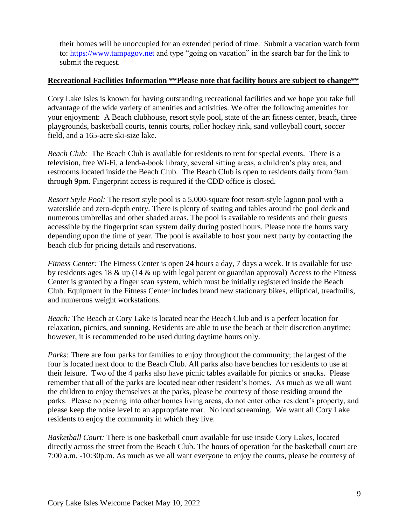<span id="page-8-0"></span>their homes will be unoccupied for an extended period of time. Submit a vacation watch form to: [https://www.tampagov.net](https://www.tampagov.net/) and type "going on vacation" in the search bar for the link to submit the request.

#### **Recreational Facilities Information \*\*Please note that facility hours are subject to change\*\***

Cory Lake Isles is known for having outstanding recreational facilities and we hope you take full advantage of the wide variety of amenities and activities. We offer the following amenities for your enjoyment: A Beach clubhouse, resort style pool, state of the art fitness center, beach, three playgrounds, basketball courts, tennis courts, roller hockey rink, sand volleyball court, soccer field, and a 165-acre ski-size lake.

*Beach Club:* The Beach Club is available for residents to rent for special events. There is a television, free Wi-Fi, a lend-a-book library, several sitting areas, a children's play area, and restrooms located inside the Beach Club. The Beach Club is open to residents daily from 9am through 9pm. Fingerprint access is required if the CDD office is closed.

*Resort Style Pool:* The resort style pool is a 5,000-square foot resort-style lagoon pool with a waterslide and zero-depth entry. There is plenty of seating and tables around the pool deck and numerous umbrellas and other shaded areas. The pool is available to residents and their guests accessible by the fingerprint scan system daily during posted hours. Please note the hours vary depending upon the time of year. The pool is available to host your next party by contacting the beach club for pricing details and reservations.

*Fitness Center:* The Fitness Center is open 24 hours a day, 7 days a week. It is available for use by residents ages 18  $\&$  up (14  $\&$  up with legal parent or guardian approval) Access to the Fitness Center is granted by a finger scan system, which must be initially registered inside the Beach Club. Equipment in the Fitness Center includes brand new stationary bikes, elliptical, treadmills, and numerous weight workstations.

*Beach:* The Beach at Cory Lake is located near the Beach Club and is a perfect location for relaxation, picnics, and sunning. Residents are able to use the beach at their discretion anytime; however, it is recommended to be used during daytime hours only.

*Parks:* There are four parks for families to enjoy throughout the community; the largest of the four is located next door to the Beach Club. All parks also have benches for residents to use at their leisure. Two of the 4 parks also have picnic tables available for picnics or snacks. Please remember that all of the parks are located near other resident's homes. As much as we all want the children to enjoy themselves at the parks, please be courtesy of those residing around the parks. Please no peering into other homes living areas, do not enter other resident's property, and please keep the noise level to an appropriate roar. No loud screaming. We want all Cory Lake residents to enjoy the community in which they live.

*Basketball Court:* There is one basketball court available for use inside Cory Lakes, located directly across the street from the Beach Club. The hours of operation for the basketball court are 7:00 a.m. -10:30p.m. As much as we all want everyone to enjoy the courts, please be courtesy of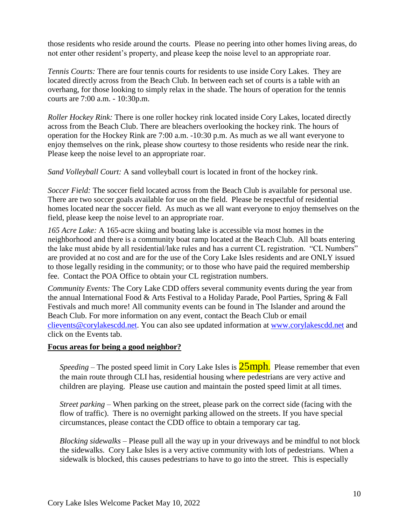those residents who reside around the courts. Please no peering into other homes living areas, do not enter other resident's property, and please keep the noise level to an appropriate roar.

*Tennis Courts:* There are four tennis courts for residents to use inside Cory Lakes. They are located directly across from the Beach Club. In between each set of courts is a table with an overhang, for those looking to simply relax in the shade. The hours of operation for the tennis courts are 7:00 a.m. - 10:30p.m.

*Roller Hockey Rink:* There is one roller hockey rink located inside Cory Lakes, located directly across from the Beach Club. There are bleachers overlooking the hockey rink. The hours of operation for the Hockey Rink are 7:00 a.m. -10:30 p.m. As much as we all want everyone to enjoy themselves on the rink, please show courtesy to those residents who reside near the rink. Please keep the noise level to an appropriate roar.

*Sand Volleyball Court:* A sand volleyball court is located in front of the hockey rink.

*Soccer Field:* The soccer field located across from the Beach Club is available for personal use. There are two soccer goals available for use on the field. Please be respectful of residential homes located near the soccer field. As much as we all want everyone to enjoy themselves on the field, please keep the noise level to an appropriate roar.

*165 Acre Lake:* A 165-acre skiing and boating lake is accessible via most homes in the neighborhood and there is a community boat ramp located at the Beach Club. All boats entering the lake must abide by all residential/lake rules and has a current CL registration. "CL Numbers" are provided at no cost and are for the use of the Cory Lake Isles residents and are ONLY issued to those legally residing in the community; or to those who have paid the required membership fee. Contact the POA Office to obtain your CL registration numbers.

*Community Events:* The Cory Lake CDD offers several community events during the year from the annual International Food & Arts Festival to a Holiday Parade, Pool Parties, Spring & Fall Festivals and much more! All community events can be found in The Islander and around the Beach Club. For more information on any event, contact the Beach Club or email [clievents@corylakescdd.net.](mailto:clievents@corylakescdd.net) You can also see updated information at [www.corylakescdd.net](http://www.corylakescdd.net/) and click on the Events tab.

#### <span id="page-9-0"></span>**Focus areas for being a good neighbor?**

*Speeding* – The posted speed limit in Cory Lake Isles is **25mph**. Please remember that even the main route through CLI has, residential housing where pedestrians are very active and children are playing. Please use caution and maintain the posted speed limit at all times.

*Street parking* – When parking on the street, please park on the correct side (facing with the flow of traffic). There is no overnight parking allowed on the streets. If you have special circumstances, please contact the CDD office to obtain a temporary car tag.

*Blocking sidewalks* – Please pull all the way up in your driveways and be mindful to not block the sidewalks. Cory Lake Isles is a very active community with lots of pedestrians. When a sidewalk is blocked, this causes pedestrians to have to go into the street. This is especially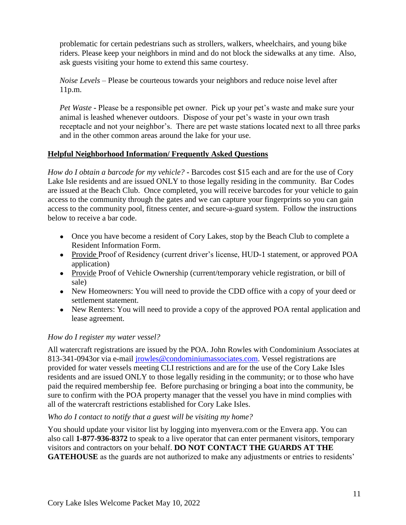problematic for certain pedestrians such as strollers, walkers, wheelchairs, and young bike riders. Please keep your neighbors in mind and do not block the sidewalks at any time. Also, ask guests visiting your home to extend this same courtesy.

*Noise Levels* – Please be courteous towards your neighbors and reduce noise level after 11p.m.

*Pet Waste* **-** Please be a responsible pet owner. Pick up your pet's waste and make sure your animal is leashed whenever outdoors. Dispose of your pet's waste in your own trash receptacle and not your neighbor's. There are pet waste stations located next to all three parks and in the other common areas around the lake for your use.

# <span id="page-10-0"></span>**Helpful Neighborhood Information/ Frequently Asked Questions**

*How do I obtain a barcode for my vehicle?* **-** Barcodes cost \$15 each and are for the use of Cory Lake Isle residents and are issued ONLY to those legally residing in the community. Bar Codes are issued at the Beach Club. Once completed, you will receive barcodes for your vehicle to gain access to the community through the gates and we can capture your fingerprints so you can gain access to the community pool, fitness center, and secure-a-guard system. Follow the instructions below to receive a bar code.

- Once you have become a resident of Cory Lakes, stop by the Beach Club to complete a Resident Information Form.
- Provide Proof of Residency (current driver's license, HUD-1 statement, or approved POA application)
- Provide Proof of Vehicle Ownership (current/temporary vehicle registration, or bill of sale)
- New Homeowners: You will need to provide the CDD office with a copy of your deed or settlement statement.
- New Renters: You will need to provide a copy of the approved POA rental application and lease agreement.

# <span id="page-10-1"></span>*How do I register my water vessel?*

All watercraft registrations are issued by the POA. John Rowles with Condominium Associates at 813-341-0943or via e-mail [jrowles@condominiumassociates.com.](mailto:jrowles@condominiumassociates.com) Vessel registrations are provided for water vessels meeting CLI restrictions and are for the use of the Cory Lake Isles residents and are issued ONLY to those legally residing in the community; or to those who have paid the required membership fee. Before purchasing or bringing a boat into the community, be sure to confirm with the POA property manager that the vessel you have in mind complies with all of the watercraft restrictions established for Cory Lake Isles.

# <span id="page-10-2"></span>*Who do I contact to notify that a guest will be visiting my home?*

You should update your visitor list by logging into myenvera.com or the Envera app. You can also call **1-877-936-8372** to speak to a live operator that can enter permanent visitors, temporary visitors and contractors on your behalf. **DO NOT CONTACT THE GUARDS AT THE GATEHOUSE** as the guards are not authorized to make any adjustments or entries to residents'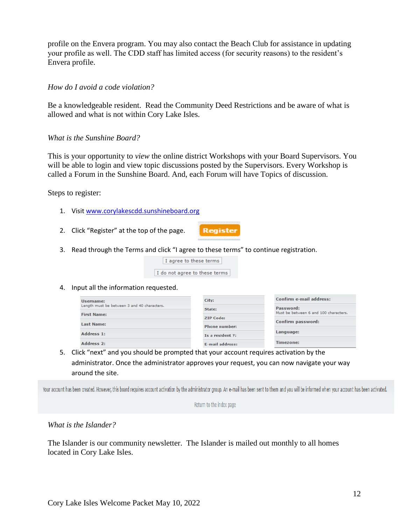profile on the Envera program. You may also contact the Beach Club for assistance in updating your profile as well. The CDD staff has limited access (for security reasons) to the resident's Envera profile.

#### <span id="page-11-0"></span>*How do I avoid a code violation?*

Be a knowledgeable resident. Read the Community Deed Restrictions and be aware of what is allowed and what is not within Cory Lake Isles.

#### <span id="page-11-1"></span>*What is the Sunshine Board?*

This is your opportunity to *view* the online district Workshops with your Board Supervisors. You will be able to login and view topic discussions posted by the Supervisors. Every Workshop is called a Forum in the Sunshine Board. And, each Forum will have Topics of discussion.

Steps to register:

- 1. Visit [www.corylakescdd.sunshineboard.org](http://www.corylakescdd.sunshineboard.org/)
- 2. Click "Register" at the top of the page.
- 3. Read through the Terms and click "I agree to these terms" to continue registration.

| I agree to these terms |  |  |
|------------------------|--|--|
|                        |  |  |

I do not agree to these terms

4. Input all the information requested.

| Username:                                   | City:                  | Confirm e-mail address:                            |
|---------------------------------------------|------------------------|----------------------------------------------------|
| Length must be between 3 and 40 characters. | State:                 | Password:<br>Must be between 6 and 100 characters. |
| <b>First Name:</b>                          | <b>ZIP Code:</b>       |                                                    |
| <b>Last Name:</b>                           | <b>Phone number:</b>   | Confirm password:                                  |
| Address 1:                                  |                        | Language:                                          |
|                                             | Is a resident ?:       |                                                    |
| Address 2:                                  | <b>E-mail address:</b> | <b>Timezone:</b>                                   |

**Register** 

5. Click "next" and you should be prompted that your account requires activation by the administrator. Once the administrator approves your request, you can now navigate your way around the site.

Your account has been created. However, this board requires account activation by the administrator group. An e-mail has been sent to them and you will be informed when your account has been activated.

Return to the index page

<span id="page-11-2"></span>*What is the Islander?* 

The Islander is our community newsletter. The Islander is mailed out monthly to all homes located in Cory Lake Isles.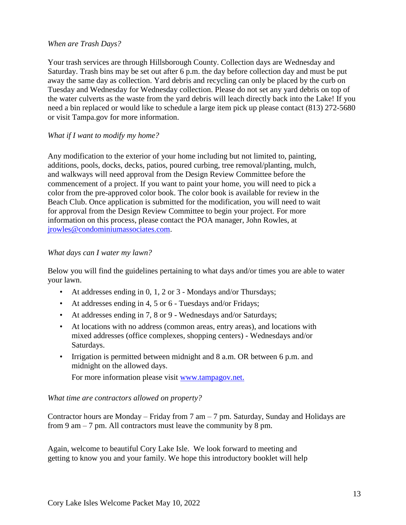#### <span id="page-12-0"></span>*When are Trash Days?*

Your trash services are through Hillsborough County. Collection days are Wednesday and Saturday. Trash bins may be set out after 6 p.m. the day before collection day and must be put away the same day as collection. Yard debris and recycling can only be placed by the curb on Tuesday and Wednesday for Wednesday collection. Please do not set any yard debris on top of the water culverts as the waste from the yard debris will leach directly back into the Lake! If you need a bin replaced or would like to schedule a large item pick up please contact (813) 272-5680 or visit Tampa.gov for more information.

#### <span id="page-12-1"></span>*What if I want to modify my home?*

Any modification to the exterior of your home including but not limited to, painting, additions, pools, docks, decks, patios, poured curbing, tree removal/planting, mulch, and walkways will need approval from the Design Review Committee before the commencement of a project. If you want to paint your home, you will need to pick a color from the pre-approved color book. The color book is available for review in the Beach Club. Once application is submitted for the modification, you will need to wait for approval from the Design Review Committee to begin your project. For more information on this process, please contact the POA manager, John Rowles, at [jrowles@condominiumassociates.com.](mailto:jrowles@condominiumassociates.com)

#### <span id="page-12-2"></span>*What days can I water my lawn?*

Below you will find the guidelines pertaining to what days and/or times you are able to water your lawn.

- At addresses ending in 0, 1, 2 or 3 Mondays and/or Thursdays;
- At addresses ending in 4, 5 or 6 Tuesdays and/or Fridays;
- At addresses ending in 7, 8 or 9 Wednesdays and/or Saturdays;
- At locations with no address (common areas, entry areas), and locations with mixed addresses (office complexes, shopping centers) - Wednesdays and/or Saturdays.
- Irrigation is permitted between midnight and 8 a.m. OR between 6 p.m. and midnight on the allowed days.

For more information please visit [www.tampagov.net.](http://www.tampagov.net/)

*What time are contractors allowed on property?*

Contractor hours are Monday – Friday from 7 am – 7 pm. Saturday, Sunday and Holidays are from 9 am – 7 pm. All contractors must leave the community by 8 pm.

Again, welcome to beautiful Cory Lake Isle. We look forward to meeting and getting to know you and your family. We hope this introductory booklet will help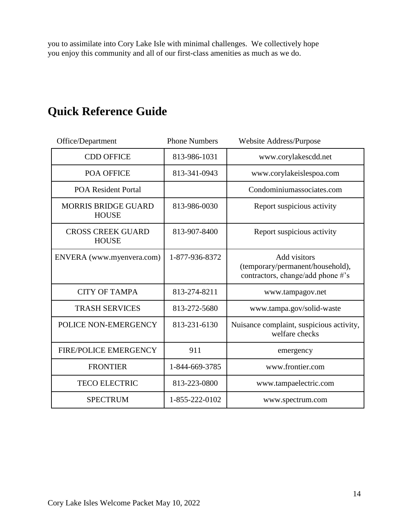you to assimilate into Cory Lake Isle with minimal challenges. We collectively hope you enjoy this community and all of our first-class amenities as much as we do.

# **Quick Reference Guide**

| Office/Department                          | <b>Phone Numbers</b> | Website Address/Purpose                                                               |
|--------------------------------------------|----------------------|---------------------------------------------------------------------------------------|
| <b>CDD OFFICE</b>                          | 813-986-1031         | www.corylakescdd.net                                                                  |
| <b>POA OFFICE</b>                          | 813-341-0943         | www.corylakeislespoa.com                                                              |
| <b>POA Resident Portal</b>                 |                      | Condominiumassociates.com                                                             |
| <b>MORRIS BRIDGE GUARD</b><br><b>HOUSE</b> | 813-986-0030         | Report suspicious activity                                                            |
| <b>CROSS CREEK GUARD</b><br><b>HOUSE</b>   | 813-907-8400         | Report suspicious activity                                                            |
| ENVERA (www.myenvera.com)                  | 1-877-936-8372       | Add visitors<br>(temporary/permanent/household),<br>contractors, change/add phone #'s |
| <b>CITY OF TAMPA</b>                       | 813-274-8211         | www.tampagov.net                                                                      |
| <b>TRASH SERVICES</b>                      | 813-272-5680         | www.tampa.gov/solid-waste                                                             |
| POLICE NON-EMERGENCY                       | 813-231-6130         | Nuisance complaint, suspicious activity,<br>welfare checks                            |
| <b>FIRE/POLICE EMERGENCY</b>               | 911                  | emergency                                                                             |
| <b>FRONTIER</b>                            | 1-844-669-3785       | www.frontier.com                                                                      |
| <b>TECO ELECTRIC</b>                       | 813-223-0800         | www.tampaelectric.com                                                                 |
| <b>SPECTRUM</b>                            | 1-855-222-0102       | www.spectrum.com                                                                      |